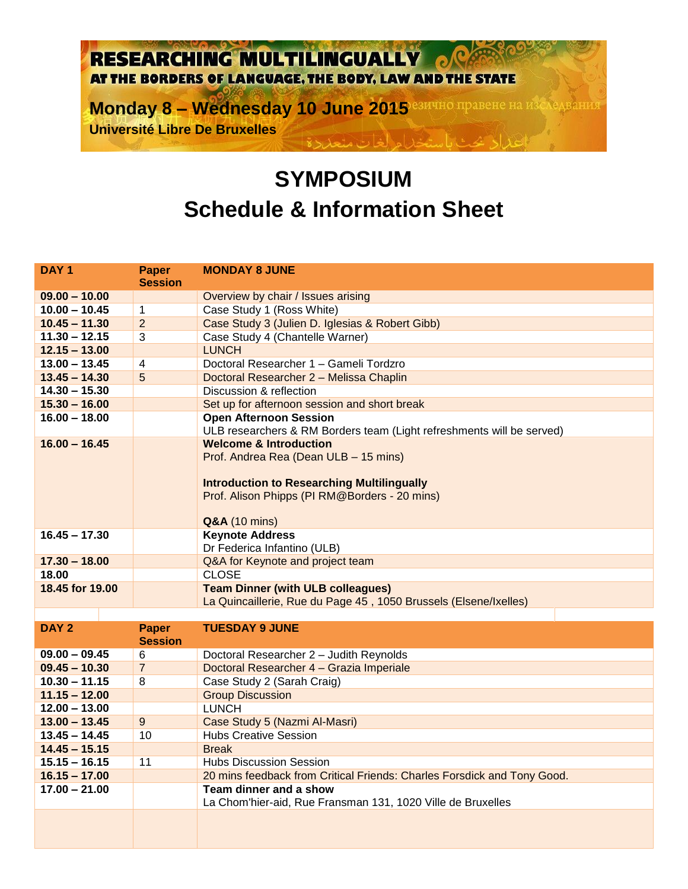## RESEARCHING MULTILINGUALLY  $\mathbf{C}^{\mathbf{C}}$ AT THE BORDERS OF LANGUAGE, THE BODY, LAW AND THE STATE

**Monday 8 - Wednesday 10 June 2015** estatio правене на изследвания **Université Libre De Bruxelles** 

## **SYMPOSIUM Schedule & Information Sheet**

| DAY <sub>1</sub> | <b>Paper</b><br><b>Session</b> | <b>MONDAY 8 JUNE</b>                                                    |
|------------------|--------------------------------|-------------------------------------------------------------------------|
| $09.00 - 10.00$  |                                | Overview by chair / Issues arising                                      |
| $10.00 - 10.45$  | $\mathbf{1}$                   | Case Study 1 (Ross White)                                               |
| $10.45 - 11.30$  | $\overline{2}$                 | Case Study 3 (Julien D. Iglesias & Robert Gibb)                         |
| $11.30 - 12.15$  | 3                              | Case Study 4 (Chantelle Warner)                                         |
| $12.15 - 13.00$  |                                | <b>LUNCH</b>                                                            |
| $13.00 - 13.45$  | $\overline{\mathbf{4}}$        | Doctoral Researcher 1 - Gameli Tordzro                                  |
| $13.45 - 14.30$  | 5                              | Doctoral Researcher 2 - Melissa Chaplin                                 |
| $14.30 - 15.30$  |                                | Discussion & reflection                                                 |
| $15.30 - 16.00$  |                                | Set up for afternoon session and short break                            |
| $16.00 - 18.00$  |                                | <b>Open Afternoon Session</b>                                           |
|                  |                                | ULB researchers & RM Borders team (Light refreshments will be served)   |
| $16.00 - 16.45$  |                                | <b>Welcome &amp; Introduction</b>                                       |
|                  |                                | Prof. Andrea Rea (Dean ULB - 15 mins)                                   |
|                  |                                |                                                                         |
|                  |                                | <b>Introduction to Researching Multilingually</b>                       |
|                  |                                | Prof. Alison Phipps (PI RM@Borders - 20 mins)                           |
|                  |                                |                                                                         |
| $16.45 - 17.30$  |                                | <b>Q&amp;A</b> (10 mins)<br><b>Keynote Address</b>                      |
|                  |                                | Dr Federica Infantino (ULB)                                             |
| $17.30 - 18.00$  |                                | Q&A for Keynote and project team                                        |
| 18.00            |                                | <b>CLOSE</b>                                                            |
| 18.45 for 19.00  |                                | <b>Team Dinner (with ULB colleagues)</b>                                |
|                  |                                | La Quincaillerie, Rue du Page 45, 1050 Brussels (Elsene/Ixelles)        |
|                  |                                |                                                                         |
| DAY <sub>2</sub> | Paper                          | <b>TUESDAY 9 JUNE</b>                                                   |
|                  | <b>Session</b>                 |                                                                         |
| $09.00 - 09.45$  | 6                              | Doctoral Researcher 2 - Judith Reynolds                                 |
| $09.45 - 10.30$  | $\overline{7}$                 | Doctoral Researcher 4 - Grazia Imperiale                                |
| $10.30 - 11.15$  | 8                              | Case Study 2 (Sarah Craig)                                              |
| $11.15 - 12.00$  |                                | <b>Group Discussion</b>                                                 |
| $12.00 - 13.00$  |                                | <b>LUNCH</b>                                                            |
| $13.00 - 13.45$  | $\overline{9}$                 | Case Study 5 (Nazmi Al-Masri)                                           |
| $13.45 - 14.45$  | 10                             | <b>Hubs Creative Session</b>                                            |
| $14.45 - 15.15$  |                                | <b>Break</b>                                                            |
| $15.15 - 16.15$  | 11                             | <b>Hubs Discussion Session</b>                                          |
| $16.15 - 17.00$  |                                | 20 mins feedback from Critical Friends: Charles Forsdick and Tony Good. |
| $17.00 - 21.00$  |                                | Team dinner and a show                                                  |
|                  |                                | La Chom'hier-aid, Rue Fransman 131, 1020 Ville de Bruxelles             |
|                  |                                |                                                                         |
|                  |                                |                                                                         |